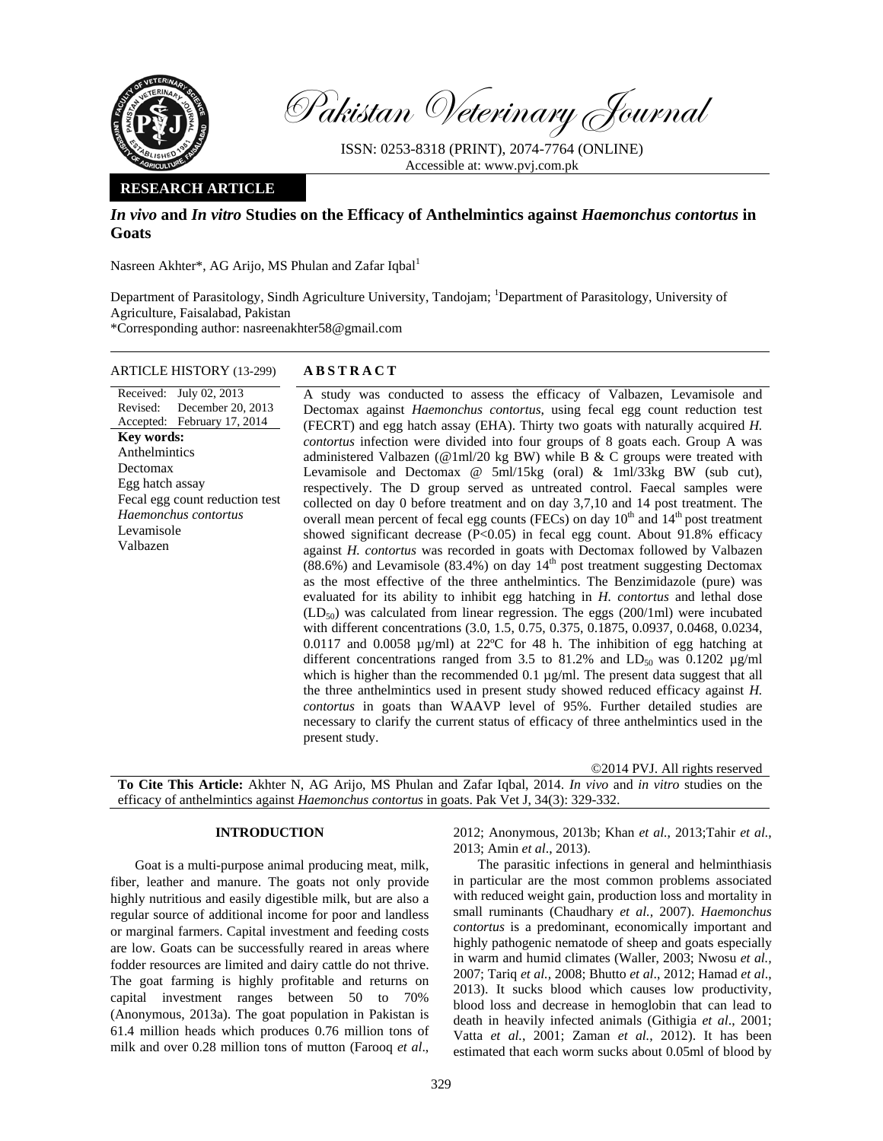

Pakistan Veterinary Journal

ISSN: 0253-8318 (PRINT), 2074-7764 (ONLINE) Accessible at: www.pvj.com.pk

## **RESEARCH ARTICLE**

# *In vivo* **and** *In vitro* **Studies on the Efficacy of Anthelmintics against** *Haemonchus contortus* **in Goats**

Nasreen Akhter\*, AG Arijo, MS Phulan and Zafar Iqbal<sup>1</sup>

Department of Parasitology, Sindh Agriculture University, Tandojam; <sup>1</sup>Department of Parasitology, University of Agriculture, Faisalabad, Pakistan \*Corresponding author: nasreenakhter58@gmail.com

## ARTICLE HISTORY (13-299) **ABSTRACT**

#### Received: July 02, 2013 Revised: Accepted: February 17, 2014 December 20, 2013 **Key words:**  Anthelmintics Dectomax Egg hatch assay Fecal egg count reduction test *Haemonchus contortus*  Levamisole Valbazen

 A study was conducted to assess the efficacy of Valbazen, Levamisole and Dectomax against *Haemonchus contortus*, using fecal egg count reduction test (FECRT) and egg hatch assay (EHA). Thirty two goats with naturally acquired *H. contortus* infection were divided into four groups of 8 goats each. Group A was administered Valbazen (@1ml/20 kg BW) while B & C groups were treated with Levamisole and Dectomax @ 5ml/15kg (oral) & 1ml/33kg BW (sub cut), respectively. The D group served as untreated control. Faecal samples were collected on day 0 before treatment and on day 3,7,10 and 14 post treatment. The overall mean percent of fecal egg counts (FECs) on day  $10<sup>th</sup>$  and  $14<sup>th</sup>$  post treatment showed significant decrease (P<0.05) in fecal egg count. About 91.8% efficacy against *H. contortus* was recorded in goats with Dectomax followed by Valbazen  $(88.6\%)$  and Levamisole  $(83.4\%)$  on day  $14<sup>th</sup>$  post treatment suggesting Dectomax as the most effective of the three anthelmintics. The Benzimidazole (pure) was evaluated for its ability to inhibit egg hatching in *H. contortus* and lethal dose  $(LD_{50})$  was calculated from linear regression. The eggs (200/1ml) were incubated with different concentrations (3.0, 1.5, 0.75, 0.375, 0.1875, 0.0937, 0.0468, 0.0234, 0.0117 and 0.0058 µg/ml) at 22ºC for 48 h. The inhibition of egg hatching at different concentrations ranged from 3.5 to 81.2% and  $LD_{50}$  was 0.1202  $\mu$ g/ml which is higher than the recommended 0.1  $\mu$ g/ml. The present data suggest that all the three anthelmintics used in present study showed reduced efficacy against *H. contortus* in goats than WAAVP level of 95%. Further detailed studies are necessary to clarify the current status of efficacy of three anthelmintics used in the present study.

©2014 PVJ. All rights reserved

**To Cite This Article:** Akhter N, AG Arijo, MS Phulan and Zafar Iqbal, 2014. *In vivo* and *in vitro* studies on the efficacy of anthelmintics against *Haemonchus contortus* in goats. Pak Vet J, 34(3): 329-332.

## **INTRODUCTION**

Goat is a multi-purpose animal producing meat, milk, fiber, leather and manure. The goats not only provide highly nutritious and easily digestible milk, but are also a regular source of additional income for poor and landless or marginal farmers. Capital investment and feeding costs are low. Goats can be successfully reared in areas where fodder resources are limited and dairy cattle do not thrive. The goat farming is highly profitable and returns on capital investment ranges between 50 to 70% (Anonymous, 2013a). The goat population in Pakistan is 61.4 million heads which produces 0.76 million tons of milk and over 0.28 million tons of mutton (Farooq *et al*.,

2012; Anonymous, 2013b; Khan *et al.*, 2013;Tahir *et al.*, 2013; Amin *et al*., 2013).

The parasitic infections in general and helminthiasis in particular are the most common problems associated with reduced weight gain, production loss and mortality in small ruminants (Chaudhary *et al.,* 2007). *Haemonchus contortus* is a predominant, economically important and highly pathogenic nematode of sheep and goats especially in warm and humid climates (Waller, 2003; Nwosu *et al.,* 2007; Tariq *et al.,* 2008; Bhutto *et al*., 2012; Hamad *et al*., 2013). It sucks blood which causes low productivity, blood loss and decrease in hemoglobin that can lead to death in heavily infected animals (Githigia *et al*., 2001; Vatta *et al.*, 2001; Zaman *et al.*, 2012). It has been estimated that each worm sucks about 0.05ml of blood by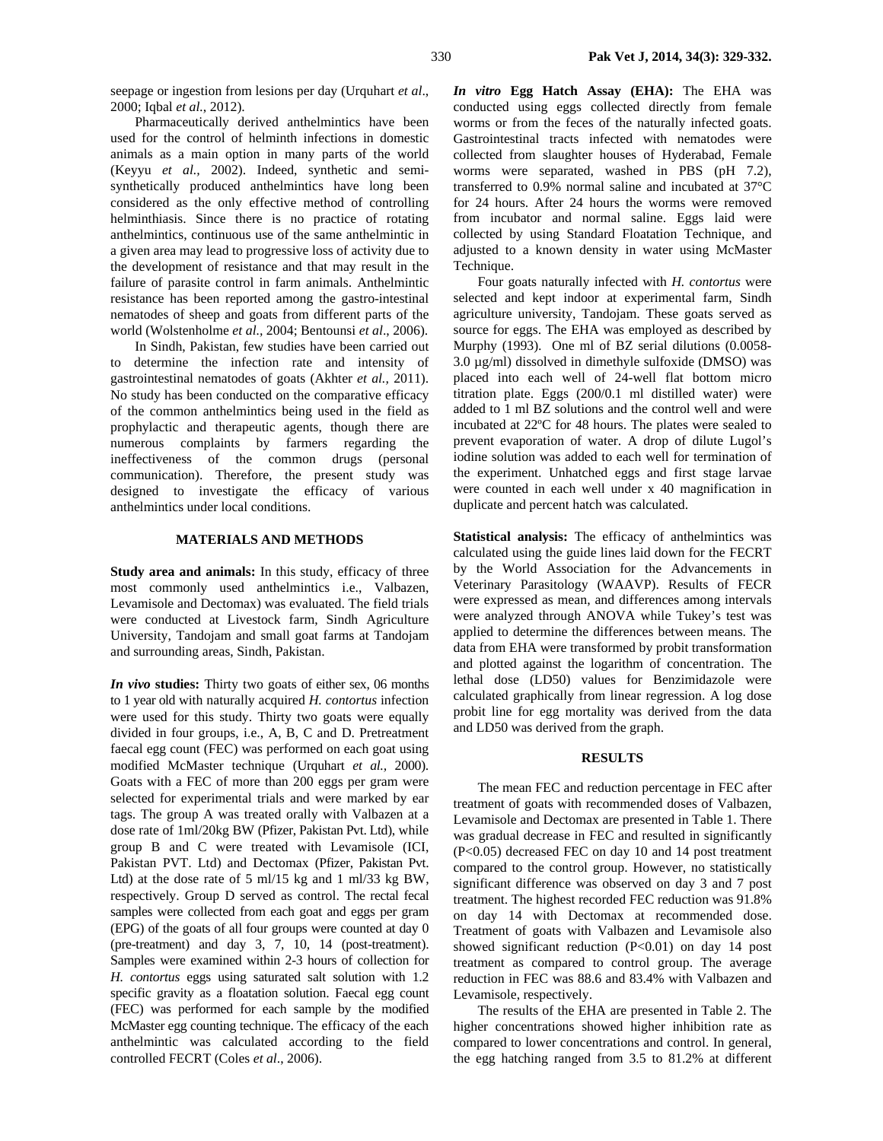seepage or ingestion from lesions per day (Urquhart *et al*., 2000; Iqbal *et al.*, 2012).

Pharmaceutically derived anthelmintics have been used for the control of helminth infections in domestic animals as a main option in many parts of the world (Keyyu *et al.,* 2002). Indeed, synthetic and semisynthetically produced anthelmintics have long been considered as the only effective method of controlling helminthiasis. Since there is no practice of rotating anthelmintics, continuous use of the same anthelmintic in a given area may lead to progressive loss of activity due to the development of resistance and that may result in the failure of parasite control in farm animals. Anthelmintic resistance has been reported among the gastro-intestinal nematodes of sheep and goats from different parts of the world (Wolstenholme *et al.,* 2004; Bentounsi *et al*., 2006).

In Sindh, Pakistan, few studies have been carried out to determine the infection rate and intensity of gastrointestinal nematodes of goats (Akhter *et al.,* 2011). No study has been conducted on the comparative efficacy of the common anthelmintics being used in the field as prophylactic and therapeutic agents, though there are numerous complaints by farmers regarding the ineffectiveness of the common drugs (personal communication). Therefore, the present study was designed to investigate the efficacy of various anthelmintics under local conditions.

## **MATERIALS AND METHODS**

**Study area and animals:** In this study, efficacy of three most commonly used anthelmintics i.e., Valbazen, Levamisole and Dectomax) was evaluated. The field trials were conducted at Livestock farm, Sindh Agriculture University, Tandojam and small goat farms at Tandojam and surrounding areas, Sindh, Pakistan.

*In vivo* **studies:** Thirty two goats of either sex, 06 months to 1 year old with naturally acquired *H. contortus* infection were used for this study. Thirty two goats were equally divided in four groups, i.e., A, B, C and D. Pretreatment faecal egg count (FEC) was performed on each goat using modified McMaster technique (Urquhart *et al.,* 2000). Goats with a FEC of more than 200 eggs per gram were selected for experimental trials and were marked by ear tags. The group A was treated orally with Valbazen at a dose rate of 1ml/20kg BW (Pfizer, Pakistan Pvt. Ltd), while group B and C were treated with Levamisole (ICI, Pakistan PVT. Ltd) and Dectomax (Pfizer, Pakistan Pvt. Ltd) at the dose rate of 5 ml/15 kg and 1 ml/33 kg BW, respectively. Group D served as control. The rectal fecal samples were collected from each goat and eggs per gram (EPG) of the goats of all four groups were counted at day 0 (pre-treatment) and day 3, 7, 10, 14 (post-treatment). Samples were examined within 2-3 hours of collection for *H. contortus* eggs using saturated salt solution with 1.2 specific gravity as a floatation solution. Faecal egg count (FEC) was performed for each sample by the modified McMaster egg counting technique. The efficacy of the each anthelmintic was calculated according to the field controlled FECRT (Coles *et al*., 2006).

*In vitro* **Egg Hatch Assay (EHA):** The EHA was conducted using eggs collected directly from female worms or from the feces of the naturally infected goats. Gastrointestinal tracts infected with nematodes were collected from slaughter houses of Hyderabad, Female worms were separated, washed in PBS (pH 7.2), transferred to 0.9% normal saline and incubated at 37°C for 24 hours. After 24 hours the worms were removed from incubator and normal saline. Eggs laid were collected by using Standard Floatation Technique, and adjusted to a known density in water using McMaster Technique.

Four goats naturally infected with *H. contortus* were selected and kept indoor at experimental farm, Sindh agriculture university, Tandojam. These goats served as source for eggs. The EHA was employed as described by Murphy (1993). One ml of BZ serial dilutions (0.0058- 3.0 µg/ml) dissolved in dimethyle sulfoxide (DMSO) was placed into each well of 24-well flat bottom micro titration plate. Eggs (200/0.1 ml distilled water) were added to 1 ml BZ solutions and the control well and were incubated at 22ºC for 48 hours. The plates were sealed to prevent evaporation of water. A drop of dilute Lugol's iodine solution was added to each well for termination of the experiment. Unhatched eggs and first stage larvae were counted in each well under x 40 magnification in duplicate and percent hatch was calculated.

**Statistical analysis:** The efficacy of anthelmintics was calculated using the guide lines laid down for the FECRT by the World Association for the Advancements in Veterinary Parasitology (WAAVP). Results of FECR were expressed as mean, and differences among intervals were analyzed through ANOVA while Tukey's test was applied to determine the differences between means. The data from EHA were transformed by probit transformation and plotted against the logarithm of concentration. The lethal dose (LD50) values for Benzimidazole were calculated graphically from linear regression. A log dose probit line for egg mortality was derived from the data and LD50 was derived from the graph.

## **RESULTS**

The mean FEC and reduction percentage in FEC after treatment of goats with recommended doses of Valbazen, Levamisole and Dectomax are presented in Table 1. There was gradual decrease in FEC and resulted in significantly (P<0.05) decreased FEC on day 10 and 14 post treatment compared to the control group. However, no statistically significant difference was observed on day 3 and 7 post treatment. The highest recorded FEC reduction was 91.8% on day 14 with Dectomax at recommended dose. Treatment of goats with Valbazen and Levamisole also showed significant reduction  $(P<0.01)$  on day 14 post treatment as compared to control group. The average reduction in FEC was 88.6 and 83.4% with Valbazen and Levamisole, respectively.

The results of the EHA are presented in Table 2. The higher concentrations showed higher inhibition rate as compared to lower concentrations and control. In general, the egg hatching ranged from 3.5 to 81.2% at different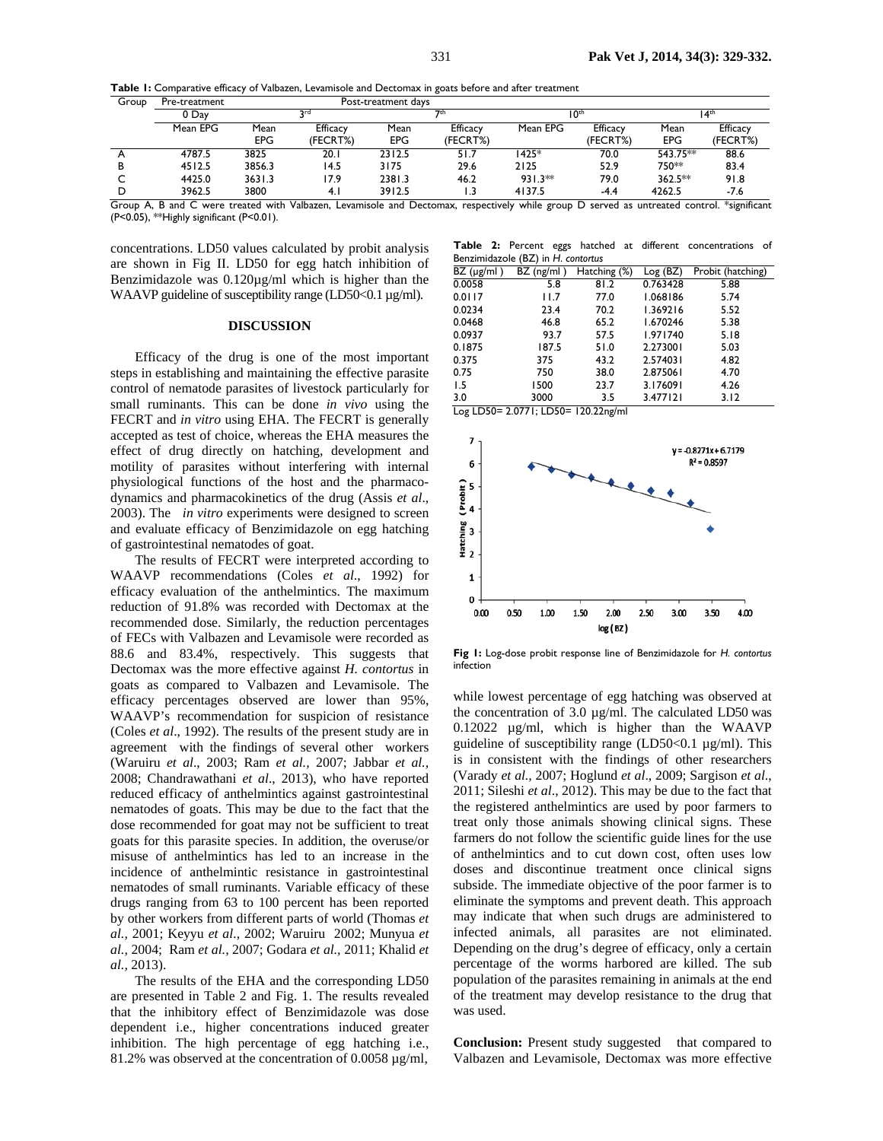| Table I: Comparative efficacy of Valbazen, Levamisole and Dectomax in goats before and after treatment |  |
|--------------------------------------------------------------------------------------------------------|--|
|--------------------------------------------------------------------------------------------------------|--|

| Group | Pre-treatment | Post-treatment days |                      |             |                      |           |                      |                    |                             |
|-------|---------------|---------------------|----------------------|-------------|----------------------|-----------|----------------------|--------------------|-----------------------------|
|       | 0 Day         | <b>Drd</b>          |                      |             | 7th                  |           | 10 <sup>th</sup>     |                    | l 4 <sup>th</sup>           |
|       | Mean EPG      | Mean<br><b>EPG</b>  | Efficacy<br>(FECRT%) | Mean<br>EPG | Efficacy<br>(FECRT%) | Mean EPG  | Efficacy<br>(FECRT%) | Mean<br><b>EPG</b> | <b>Efficacy</b><br>(FECRT%) |
|       | 4787.5        | 3825                | 20.1                 | 2312.5      | 51.7                 | 1425*     | 70.0                 | 543.75**           | 88.6                        |
| в     | 4512.5        | 3856.3              | 14.5                 | 3175        | 29.6                 | 2125      | 52.9                 | 750**              | 83.4                        |
|       | 4425.0        | 3631.3              | 17.9                 | 2381.3      | 46.2                 | $931.3**$ | 79.0                 | $362.5**$          | 91.8                        |
|       | 3962.5        | 3800                | 4.1                  | 3912.5      |                      | 4137.5    | $-4.4$               | 4262.5             | $-7.6$                      |

Group A, B and C were treated with Valbazen, Levamisole and Dectomax, respectively while group D served as untreated control. \*significant (P<0.05), \*\*Highly significant (P<0.01).

concentrations. LD50 values calculated by probit analysis are shown in Fig II. LD50 for egg hatch inhibition of Benzimidazole was 0.120µg/ml which is higher than the WAAVP guideline of susceptibility range (LD50<0.1  $\mu$ g/ml).

## **DISCUSSION**

Efficacy of the drug is one of the most important steps in establishing and maintaining the effective parasite control of nematode parasites of livestock particularly for small ruminants. This can be done *in vivo* using the FECRT and *in vitro* using EHA. The FECRT is generally accepted as test of choice, whereas the EHA measures the effect of drug directly on hatching, development and motility of parasites without interfering with internal physiological functions of the host and the pharmacodynamics and pharmacokinetics of the drug (Assis *et al*., 2003). The *in vitro* experiments were designed to screen and evaluate efficacy of Benzimidazole on egg hatching of gastrointestinal nematodes of goat.

The results of FECRT were interpreted according to WAAVP recommendations (Coles *et al*., 1992) for efficacy evaluation of the anthelmintics. The maximum reduction of 91.8% was recorded with Dectomax at the recommended dose. Similarly, the reduction percentages of FECs with Valbazen and Levamisole were recorded as 88.6 and 83.4%, respectively. This suggests that Dectomax was the more effective against *H. contortus* in goats as compared to Valbazen and Levamisole. The efficacy percentages observed are lower than 95%, WAAVP's recommendation for suspicion of resistance (Coles *et al*., 1992). The results of the present study are in agreement with the findings of several other workers (Waruiru *et al*., 2003; Ram *et al.,* 2007; Jabbar *et al.,*  2008; Chandrawathani *et al*., 2013), who have reported reduced efficacy of anthelmintics against gastrointestinal nematodes of goats. This may be due to the fact that the dose recommended for goat may not be sufficient to treat goats for this parasite species. In addition, the overuse/or misuse of anthelmintics has led to an increase in the incidence of anthelmintic resistance in gastrointestinal nematodes of small ruminants. Variable efficacy of these drugs ranging from 63 to 100 percent has been reported by other workers from different parts of world (Thomas *et al.,* 2001; Keyyu *et al.,* 2002; Waruiru 2002; Munyua *et al.,* 2004; Ram *et al.,* 2007; Godara *et al.,* 2011; Khalid *et al.,* 2013).

The results of the EHA and the corresponding LD50 are presented in Table 2 and Fig. 1. The results revealed that the inhibitory effect of Benzimidazole was dose dependent i.e., higher concentrations induced greater inhibition. The high percentage of egg hatching i.e., 81.2% was observed at the concentration of 0.0058 µg/ml,

**Table 2:** Percent eggs hatched at different concentrations of Benzimidazole (BZ) in *H*. *contortus*

| BZ (µg/ml) | $BZ$ (ng/ml) | Hatching (%) | Log (BZ) | Probit (hatching) |  |  |  |  |
|------------|--------------|--------------|----------|-------------------|--|--|--|--|
| 0.0058     | 5.8          | 81.2         | 0.763428 | 5.88              |  |  |  |  |
| 0.0117     | 11.7         | 77.0         | 1.068186 | 5.74              |  |  |  |  |
| 0.0234     | 23.4         | 70.2         | 1.369216 | 5.52              |  |  |  |  |
| 0.0468     | 46.8         | 65.2         | 1.670246 | 5.38              |  |  |  |  |
| 0.0937     | 93.7         | 57.5         | 1.971740 | 5.18              |  |  |  |  |
| 0.1875     | 187.5        | 51.0         | 2.273001 | 5.03              |  |  |  |  |
| 0.375      | 375          | 43.2         | 2.574031 | 4.82              |  |  |  |  |
| 0.75       | 750          | 38.0         | 2.875061 | 4.70              |  |  |  |  |
| 1.5        | 1500         | 23.7         | 3.176091 | 4.26              |  |  |  |  |
| 3.0        | 3000         | 3.5          | 3.477121 | 3.12              |  |  |  |  |

Log LD50= 2.0771; LD50= 120.22ng/ml



**Fig 1:** Log-dose probit response line of Benzimidazole for *H. contortus* infection

while lowest percentage of egg hatching was observed at the concentration of 3.0  $\mu$ g/ml. The calculated LD50 was 0.12022 µg/ml, which is higher than the WAAVP guideline of susceptibility range (LD50<0.1  $\mu$ g/ml). This is in consistent with the findings of other researchers (Varady *et al.,* 2007; Hoglund *et al*., 2009; Sargison *et al*., 2011; Sileshi *et al*., 2012). This may be due to the fact that the registered anthelmintics are used by poor farmers to treat only those animals showing clinical signs. These farmers do not follow the scientific guide lines for the use of anthelmintics and to cut down cost, often uses low doses and discontinue treatment once clinical signs subside. The immediate objective of the poor farmer is to eliminate the symptoms and prevent death. This approach may indicate that when such drugs are administered to infected animals, all parasites are not eliminated. Depending on the drug's degree of efficacy, only a certain percentage of the worms harbored are killed. The sub population of the parasites remaining in animals at the end of the treatment may develop resistance to the drug that was used.

**Conclusion:** Present study suggested that compared to Valbazen and Levamisole, Dectomax was more effective